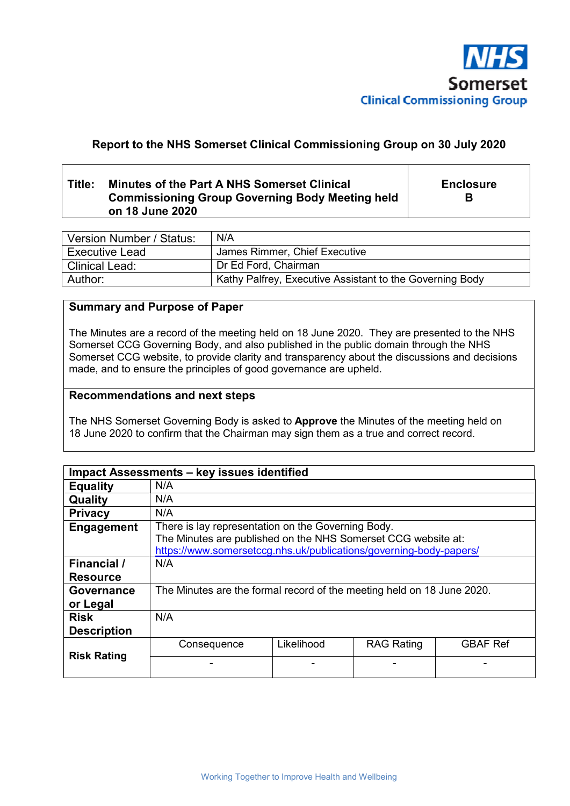

# **Report to the NHS Somerset Clinical Commissioning Group on 30 July 2020**

# **Title: Minutes of the Part A NHS Somerset Clinical Commissioning Group Governing Body Meeting held on 18 June 2020**

**Enclosure B** 

| Version Number / Status: | N/A                                                      |
|--------------------------|----------------------------------------------------------|
| l Executive Lead         | James Rimmer, Chief Executive                            |
| Clinical Lead:           | Dr Ed Ford, Chairman                                     |
| Author:                  | Kathy Palfrey, Executive Assistant to the Governing Body |

# **Summary and Purpose of Paper**

The Minutes are a record of the meeting held on 18 June 2020. They are presented to the NHS Somerset CCG Governing Body, and also published in the public domain through the NHS Somerset CCG website, to provide clarity and transparency about the discussions and decisions made, and to ensure the principles of good governance are upheld.

### **Recommendations and next steps**

The NHS Somerset Governing Body is asked to **Approve** the Minutes of the meeting held on 18 June 2020 to confirm that the Chairman may sign them as a true and correct record.

|                                   | Impact Assessments - key issues identified                                                                                                                                                |            |                   |                 |
|-----------------------------------|-------------------------------------------------------------------------------------------------------------------------------------------------------------------------------------------|------------|-------------------|-----------------|
| <b>Equality</b>                   | N/A                                                                                                                                                                                       |            |                   |                 |
| Quality                           | N/A                                                                                                                                                                                       |            |                   |                 |
| <b>Privacy</b>                    | N/A                                                                                                                                                                                       |            |                   |                 |
| Engagement                        | There is lay representation on the Governing Body.<br>The Minutes are published on the NHS Somerset CCG website at:<br>https://www.somersetccg.nhs.uk/publications/governing-body-papers/ |            |                   |                 |
| Financial /<br><b>Resource</b>    | N/A                                                                                                                                                                                       |            |                   |                 |
| Governance<br>or Legal            | The Minutes are the formal record of the meeting held on 18 June 2020.                                                                                                                    |            |                   |                 |
| <b>Risk</b><br><b>Description</b> | N/A                                                                                                                                                                                       |            |                   |                 |
| <b>Risk Rating</b>                | Consequence                                                                                                                                                                               | Likelihood | <b>RAG Rating</b> | <b>GBAF Ref</b> |
|                                   |                                                                                                                                                                                           |            |                   |                 |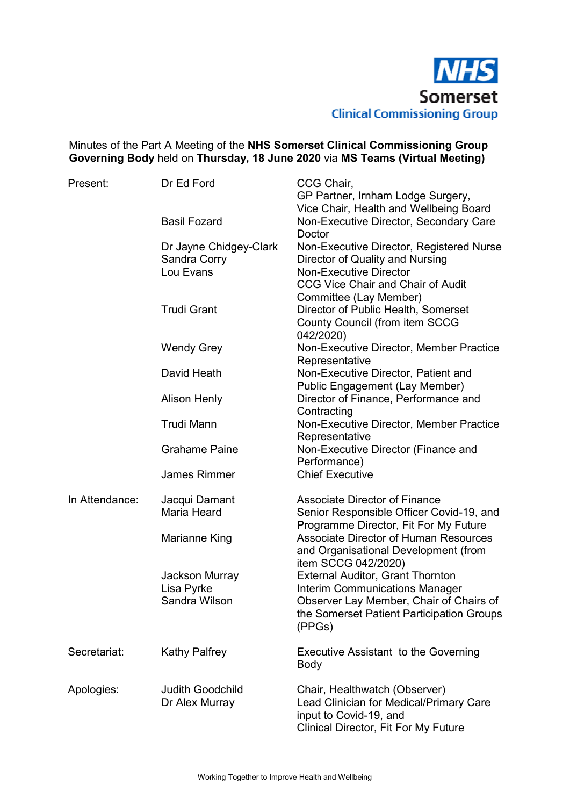

# Minutes of the Part A Meeting of the **NHS Somerset Clinical Commissioning Group Governing Body** held on **Thursday, 18 June 2020** via **MS Teams (Virtual Meeting)**

| Present:       | Dr Ed Ford                                | CCG Chair,<br>GP Partner, Irnham Lodge Surgery,                                                                                            |
|----------------|-------------------------------------------|--------------------------------------------------------------------------------------------------------------------------------------------|
|                | <b>Basil Fozard</b>                       | Vice Chair, Health and Wellbeing Board<br>Non-Executive Director, Secondary Care<br>Doctor                                                 |
|                | Dr Jayne Chidgey-Clark<br>Sandra Corry    | Non-Executive Director, Registered Nurse<br>Director of Quality and Nursing                                                                |
|                | Lou Evans                                 | <b>Non-Executive Director</b><br><b>CCG Vice Chair and Chair of Audit</b>                                                                  |
|                | <b>Trudi Grant</b>                        | Committee (Lay Member)<br>Director of Public Health, Somerset<br><b>County Council (from item SCCG</b><br>042/2020)                        |
|                | <b>Wendy Grey</b>                         | Non-Executive Director, Member Practice<br>Representative                                                                                  |
|                | David Heath                               | Non-Executive Director, Patient and<br><b>Public Engagement (Lay Member)</b>                                                               |
|                | <b>Alison Henly</b>                       | Director of Finance, Performance and<br>Contracting                                                                                        |
|                | <b>Trudi Mann</b>                         | Non-Executive Director, Member Practice<br>Representative                                                                                  |
|                | <b>Grahame Paine</b>                      | Non-Executive Director (Finance and<br>Performance)                                                                                        |
|                | <b>James Rimmer</b>                       | <b>Chief Executive</b>                                                                                                                     |
| In Attendance: | Jacqui Damant<br>Maria Heard              | <b>Associate Director of Finance</b><br>Senior Responsible Officer Covid-19, and<br>Programme Director, Fit For My Future                  |
|                | Marianne King                             | <b>Associate Director of Human Resources</b><br>and Organisational Development (from                                                       |
|                | Jackson Murray<br>Lisa Pyrke              | item SCCG 042/2020)<br><b>External Auditor, Grant Thornton</b><br><b>Interim Communications Manager</b>                                    |
|                | Sandra Wilson                             | Observer Lay Member, Chair of Chairs of<br>the Somerset Patient Participation Groups<br>(PPGs)                                             |
| Secretariat:   | <b>Kathy Palfrey</b>                      | Executive Assistant to the Governing<br>Body                                                                                               |
| Apologies:     | <b>Judith Goodchild</b><br>Dr Alex Murray | Chair, Healthwatch (Observer)<br>Lead Clinician for Medical/Primary Care<br>input to Covid-19, and<br>Clinical Director, Fit For My Future |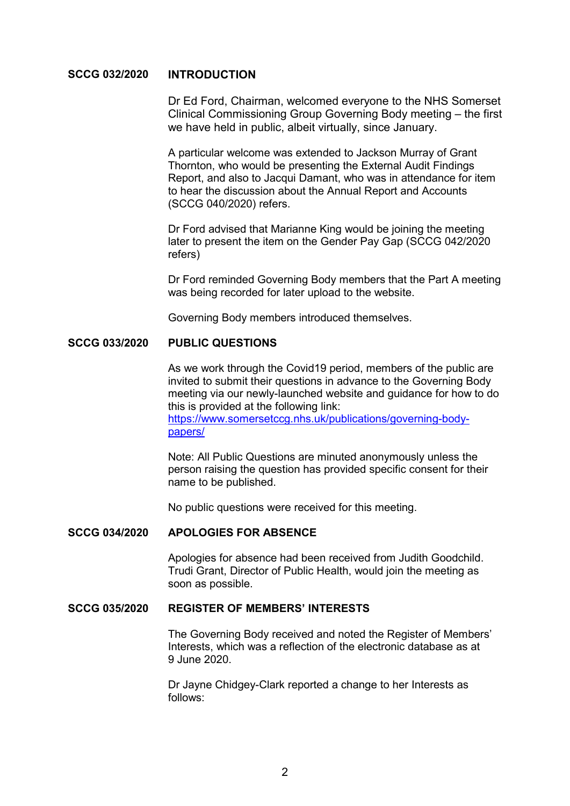### **SCCG 032/2020 INTRODUCTION**

Dr Ed Ford, Chairman, welcomed everyone to the NHS Somerset Clinical Commissioning Group Governing Body meeting – the first we have held in public, albeit virtually, since January.

 A particular welcome was extended to Jackson Murray of Grant Thornton, who would be presenting the External Audit Findings Report, and also to Jacqui Damant, who was in attendance for item to hear the discussion about the Annual Report and Accounts (SCCG 040/2020) refers.

 Dr Ford advised that Marianne King would be joining the meeting later to present the item on the Gender Pay Gap (SCCG 042/2020 refers)

 Dr Ford reminded Governing Body members that the Part A meeting was being recorded for later upload to the website.

Governing Body members introduced themselves.

#### **SCCG 033/2020 PUBLIC QUESTIONS**

 As we work through the Covid19 period, members of the public are invited to submit their questions in advance to the Governing Body meeting via our newly-launched website and guidance for how to do this is provided at the following link:

https://www.somersetccg.nhs.uk/publications/governing-bodypapers/

 Note: All Public Questions are minuted anonymously unless the person raising the question has provided specific consent for their name to be published.

No public questions were received for this meeting.

### **SCCG 034/2020 APOLOGIES FOR ABSENCE**

Apologies for absence had been received from Judith Goodchild. Trudi Grant, Director of Public Health, would join the meeting as soon as possible.

### **SCCG 035/2020 REGISTER OF MEMBERS' INTERESTS**

 The Governing Body received and noted the Register of Members' Interests, which was a reflection of the electronic database as at 9 June 2020.

Dr Jayne Chidgey-Clark reported a change to her Interests as follows: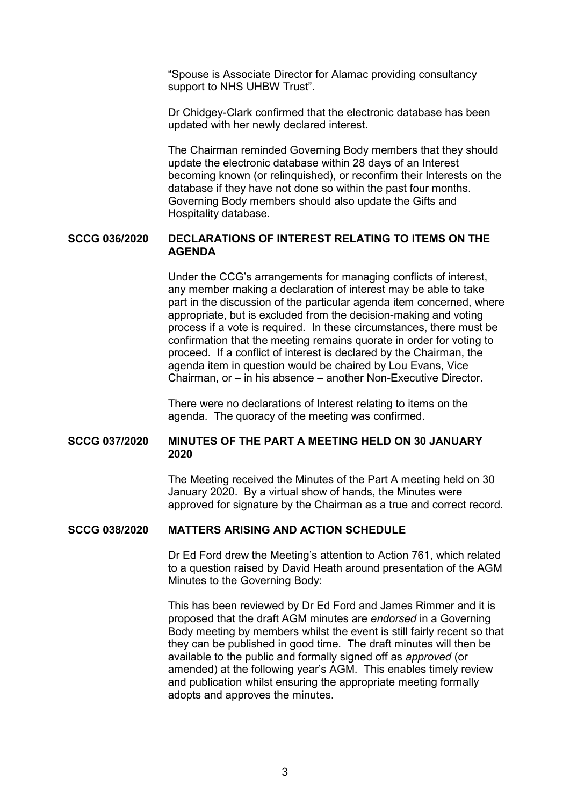"Spouse is Associate Director for Alamac providing consultancy support to NHS UHBW Trust".

Dr Chidgey-Clark confirmed that the electronic database has been updated with her newly declared interest.

The Chairman reminded Governing Body members that they should update the electronic database within 28 days of an Interest becoming known (or relinquished), or reconfirm their Interests on the database if they have not done so within the past four months. Governing Body members should also update the Gifts and Hospitality database.

# **SCCG 036/2020 DECLARATIONS OF INTEREST RELATING TO ITEMS ON THE AGENDA**

 Under the CCG's arrangements for managing conflicts of interest, any member making a declaration of interest may be able to take part in the discussion of the particular agenda item concerned, where appropriate, but is excluded from the decision-making and voting process if a vote is required. In these circumstances, there must be confirmation that the meeting remains quorate in order for voting to proceed. If a conflict of interest is declared by the Chairman, the agenda item in question would be chaired by Lou Evans, Vice Chairman, or – in his absence – another Non-Executive Director.

 There were no declarations of Interest relating to items on the agenda. The quoracy of the meeting was confirmed.

# **SCCG 037/2020 MINUTES OF THE PART A MEETING HELD ON 30 JANUARY 2020**

 The Meeting received the Minutes of the Part A meeting held on 30 January 2020. By a virtual show of hands, the Minutes were approved for signature by the Chairman as a true and correct record.

# **SCCG 038/2020 MATTERS ARISING AND ACTION SCHEDULE**

 Dr Ed Ford drew the Meeting's attention to Action 761, which related to a question raised by David Heath around presentation of the AGM Minutes to the Governing Body:

 This has been reviewed by Dr Ed Ford and James Rimmer and it is proposed that the draft AGM minutes are *endorsed* in a Governing Body meeting by members whilst the event is still fairly recent so that they can be published in good time. The draft minutes will then be available to the public and formally signed off as *approved* (or amended) at the following year's AGM. This enables timely review and publication whilst ensuring the appropriate meeting formally adopts and approves the minutes.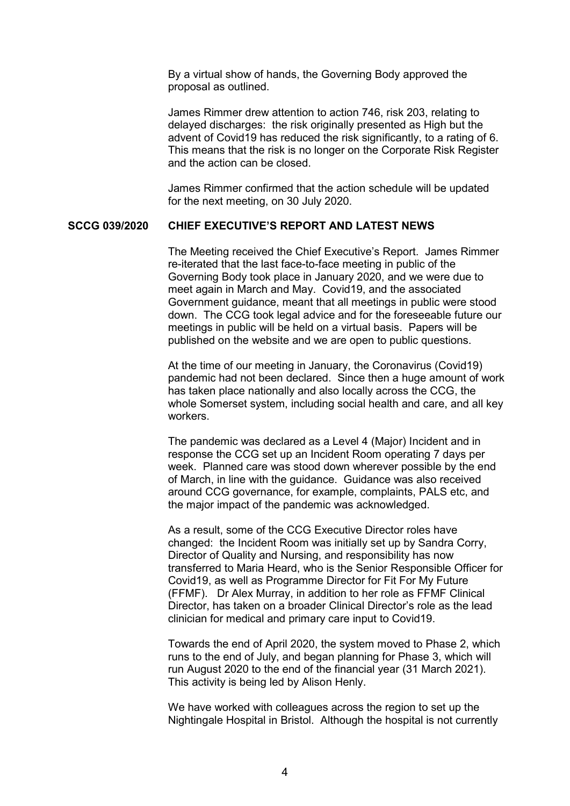By a virtual show of hands, the Governing Body approved the proposal as outlined.

 James Rimmer drew attention to action 746, risk 203, relating to delayed discharges: the risk originally presented as High but the advent of Covid19 has reduced the risk significantly, to a rating of 6. This means that the risk is no longer on the Corporate Risk Register and the action can be closed.

 James Rimmer confirmed that the action schedule will be updated for the next meeting, on 30 July 2020.

### **SCCG 039/2020 CHIEF EXECUTIVE'S REPORT AND LATEST NEWS**

 The Meeting received the Chief Executive's Report. James Rimmer re-iterated that the last face-to-face meeting in public of the Governing Body took place in January 2020, and we were due to meet again in March and May. Covid19, and the associated Government guidance, meant that all meetings in public were stood down. The CCG took legal advice and for the foreseeable future our meetings in public will be held on a virtual basis. Papers will be published on the website and we are open to public questions.

 At the time of our meeting in January, the Coronavirus (Covid19) pandemic had not been declared. Since then a huge amount of work has taken place nationally and also locally across the CCG, the whole Somerset system, including social health and care, and all key workers.

 The pandemic was declared as a Level 4 (Major) Incident and in response the CCG set up an Incident Room operating 7 days per week. Planned care was stood down wherever possible by the end of March, in line with the guidance. Guidance was also received around CCG governance, for example, complaints, PALS etc, and the major impact of the pandemic was acknowledged.

 As a result, some of the CCG Executive Director roles have changed: the Incident Room was initially set up by Sandra Corry, Director of Quality and Nursing, and responsibility has now transferred to Maria Heard, who is the Senior Responsible Officer for Covid19, as well as Programme Director for Fit For My Future (FFMF). Dr Alex Murray, in addition to her role as FFMF Clinical Director, has taken on a broader Clinical Director's role as the lead clinician for medical and primary care input to Covid19.

 Towards the end of April 2020, the system moved to Phase 2, which runs to the end of July, and began planning for Phase 3, which will run August 2020 to the end of the financial year (31 March 2021). This activity is being led by Alison Henly.

 We have worked with colleagues across the region to set up the Nightingale Hospital in Bristol. Although the hospital is not currently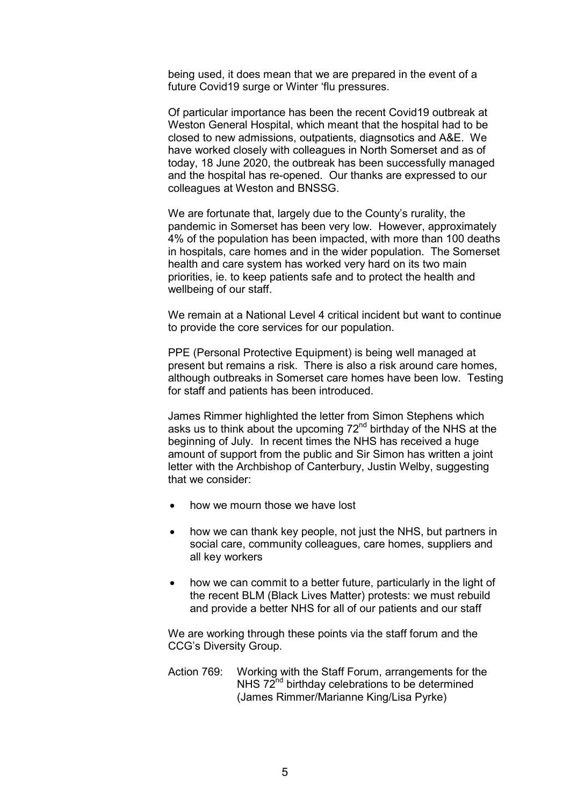being used, it does mean that we are prepared in the event of a future Covid19 surge or Winter 'flu pressures.

 Of particular importance has been the recent Covid19 outbreak at Weston General Hospital, which meant that the hospital had to be closed to new admissions, outpatients, diagnsotics and A&E. We have worked closely with colleagues in North Somerset and as of today, 18 June 2020, the outbreak has been successfully managed and the hospital has re-opened. Our thanks are expressed to our colleagues at Weston and BNSSG.

 We are fortunate that, largely due to the County's rurality, the pandemic in Somerset has been very low. However, approximately 4% of the population has been impacted, with more than 100 deaths in hospitals, care homes and in the wider population. The Somerset health and care system has worked very hard on its two main priorities, ie. to keep patients safe and to protect the health and wellbeing of our staff.

 We remain at a National Level 4 critical incident but want to continue to provide the core services for our population.

 PPE (Personal Protective Equipment) is being well managed at present but remains a risk. There is also a risk around care homes, although outbreaks in Somerset care homes have been low. Testing for staff and patients has been introduced.

 James Rimmer highlighted the letter from Simon Stephens which asks us to think about the upcoming 72<sup>nd</sup> birthday of the NHS at the beginning of July. In recent times the NHS has received a huge amount of support from the public and Sir Simon has written a joint letter with the Archbishop of Canterbury, Justin Welby, suggesting that we consider:

- how we mourn those we have lost
- how we can thank key people, not just the NHS, but partners in social care, community colleagues, care homes, suppliers and all key workers
- how we can commit to a better future, particularly in the light of the recent BLM (Black Lives Matter) protests: we must rebuild and provide a better NHS for all of our patients and our staff

 We are working through these points via the staff forum and the CCG's Diversity Group.

 Action 769: Working with the Staff Forum, arrangements for the NHS  $72^{nd}$  birthday celebrations to be determined (James Rimmer/Marianne King/Lisa Pyrke)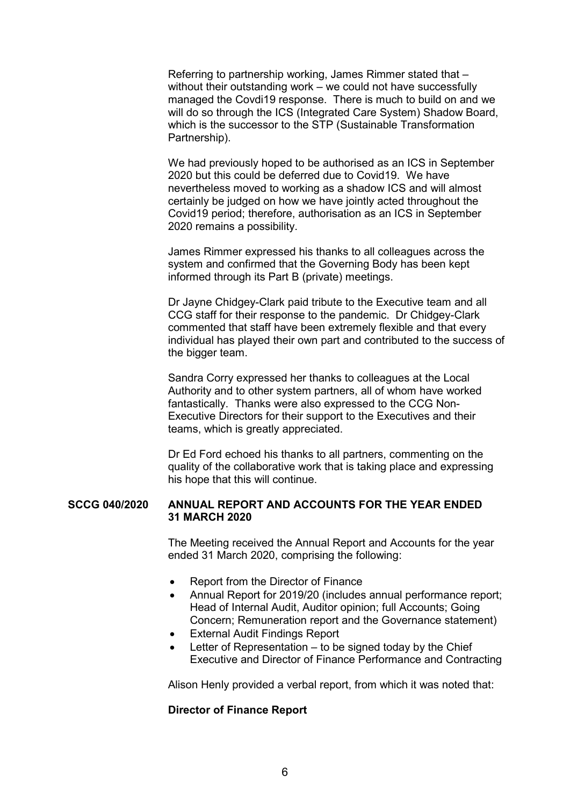Referring to partnership working, James Rimmer stated that – without their outstanding work – we could not have successfully managed the Covdi19 response. There is much to build on and we will do so through the ICS (Integrated Care System) Shadow Board, which is the successor to the STP (Sustainable Transformation Partnership).

 We had previously hoped to be authorised as an ICS in September 2020 but this could be deferred due to Covid19. We have nevertheless moved to working as a shadow ICS and will almost certainly be judged on how we have jointly acted throughout the Covid19 period; therefore, authorisation as an ICS in September 2020 remains a possibility.

 James Rimmer expressed his thanks to all colleagues across the system and confirmed that the Governing Body has been kept informed through its Part B (private) meetings.

 Dr Jayne Chidgey-Clark paid tribute to the Executive team and all CCG staff for their response to the pandemic. Dr Chidgey-Clark commented that staff have been extremely flexible and that every individual has played their own part and contributed to the success of the bigger team.

 Sandra Corry expressed her thanks to colleagues at the Local Authority and to other system partners, all of whom have worked fantastically. Thanks were also expressed to the CCG Non-Executive Directors for their support to the Executives and their teams, which is greatly appreciated.

 Dr Ed Ford echoed his thanks to all partners, commenting on the quality of the collaborative work that is taking place and expressing his hope that this will continue.

# **SCCG 040/2020 ANNUAL REPORT AND ACCOUNTS FOR THE YEAR ENDED 31 MARCH 2020**

 The Meeting received the Annual Report and Accounts for the year ended 31 March 2020, comprising the following:

- Report from the Director of Finance
- Annual Report for 2019/20 (includes annual performance report; Head of Internal Audit, Auditor opinion; full Accounts; Going Concern; Remuneration report and the Governance statement)
- External Audit Findings Report
- Letter of Representation to be signed today by the Chief Executive and Director of Finance Performance and Contracting

Alison Henly provided a verbal report, from which it was noted that:

#### **Director of Finance Report**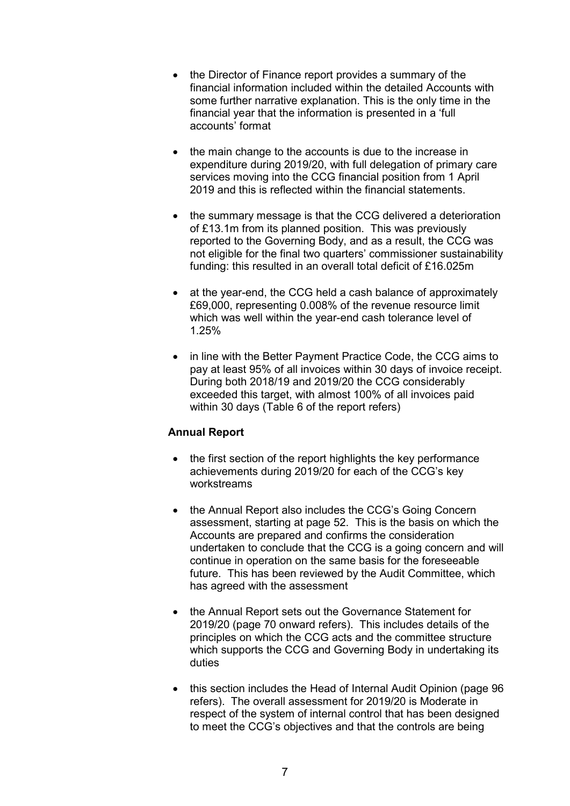- the Director of Finance report provides a summary of the financial information included within the detailed Accounts with some further narrative explanation. This is the only time in the financial year that the information is presented in a 'full accounts' format
- the main change to the accounts is due to the increase in expenditure during 2019/20, with full delegation of primary care services moving into the CCG financial position from 1 April 2019 and this is reflected within the financial statements.
- the summary message is that the CCG delivered a deterioration of £13.1m from its planned position. This was previously reported to the Governing Body, and as a result, the CCG was not eligible for the final two quarters' commissioner sustainability funding: this resulted in an overall total deficit of £16.025m
- at the year-end, the CCG held a cash balance of approximately £69,000, representing 0.008% of the revenue resource limit which was well within the year-end cash tolerance level of 1.25%
- in line with the Better Payment Practice Code, the CCG aims to pay at least 95% of all invoices within 30 days of invoice receipt. During both 2018/19 and 2019/20 the CCG considerably exceeded this target, with almost 100% of all invoices paid within 30 days (Table 6 of the report refers)

# **Annual Report**

- the first section of the report highlights the key performance achievements during 2019/20 for each of the CCG's key workstreams
- the Annual Report also includes the CCG's Going Concern assessment, starting at page 52. This is the basis on which the Accounts are prepared and confirms the consideration undertaken to conclude that the CCG is a going concern and will continue in operation on the same basis for the foreseeable future. This has been reviewed by the Audit Committee, which has agreed with the assessment
- the Annual Report sets out the Governance Statement for 2019/20 (page 70 onward refers). This includes details of the principles on which the CCG acts and the committee structure which supports the CCG and Governing Body in undertaking its duties
- this section includes the Head of Internal Audit Opinion (page 96 refers). The overall assessment for 2019/20 is Moderate in respect of the system of internal control that has been designed to meet the CCG's objectives and that the controls are being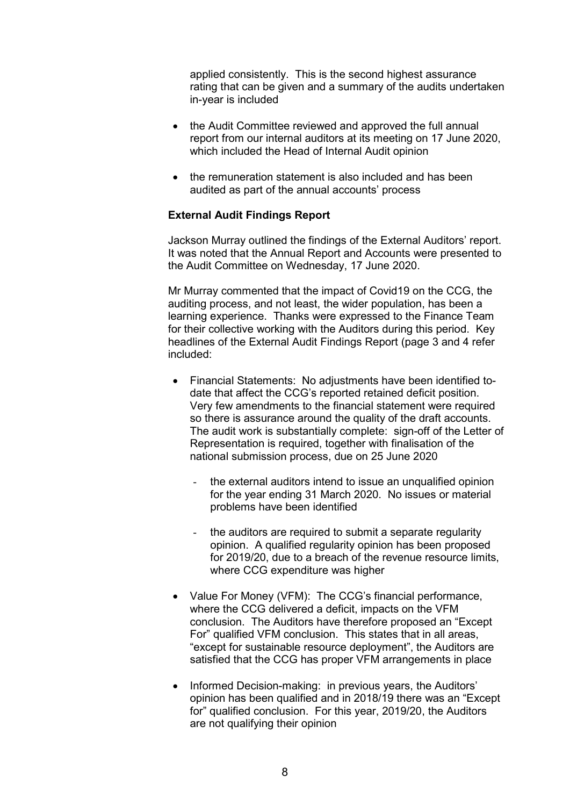applied consistently. This is the second highest assurance rating that can be given and a summary of the audits undertaken in-year is included

- the Audit Committee reviewed and approved the full annual report from our internal auditors at its meeting on 17 June 2020, which included the Head of Internal Audit opinion
- the remuneration statement is also included and has been audited as part of the annual accounts' process

# **External Audit Findings Report**

 Jackson Murray outlined the findings of the External Auditors' report. It was noted that the Annual Report and Accounts were presented to the Audit Committee on Wednesday, 17 June 2020.

 Mr Murray commented that the impact of Covid19 on the CCG, the auditing process, and not least, the wider population, has been a learning experience. Thanks were expressed to the Finance Team for their collective working with the Auditors during this period. Key headlines of the External Audit Findings Report (page 3 and 4 refer included:

- Financial Statements: No adjustments have been identified todate that affect the CCG's reported retained deficit position. Very few amendments to the financial statement were required so there is assurance around the quality of the draft accounts. The audit work is substantially complete: sign-off of the Letter of Representation is required, together with finalisation of the national submission process, due on 25 June 2020
	- the external auditors intend to issue an unqualified opinion for the year ending 31 March 2020. No issues or material problems have been identified
	- the auditors are required to submit a separate regularity opinion. A qualified regularity opinion has been proposed for 2019/20, due to a breach of the revenue resource limits, where CCG expenditure was higher
- Value For Money (VFM): The CCG's financial performance, where the CCG delivered a deficit, impacts on the VFM conclusion. The Auditors have therefore proposed an "Except For" qualified VFM conclusion. This states that in all areas, "except for sustainable resource deployment", the Auditors are satisfied that the CCG has proper VFM arrangements in place
- Informed Decision-making: in previous years, the Auditors' opinion has been qualified and in 2018/19 there was an "Except for" qualified conclusion. For this year, 2019/20, the Auditors are not qualifying their opinion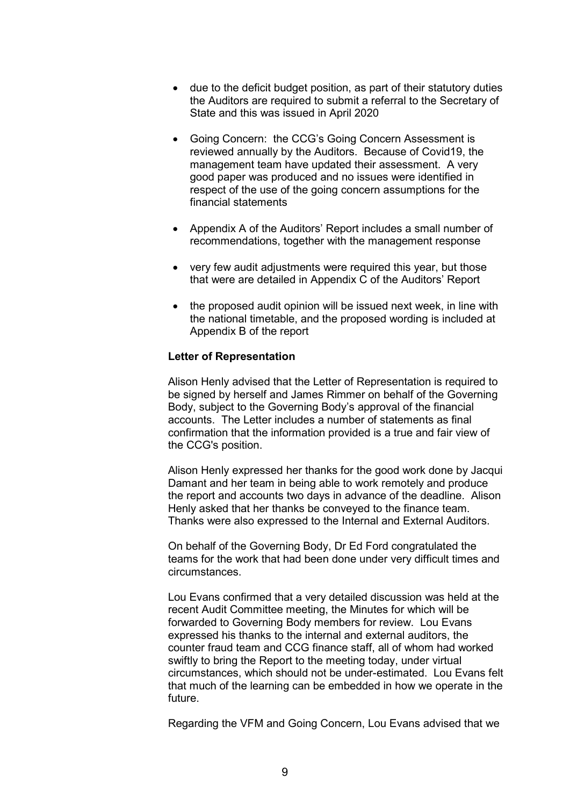- due to the deficit budget position, as part of their statutory duties the Auditors are required to submit a referral to the Secretary of State and this was issued in April 2020
- Going Concern: the CCG's Going Concern Assessment is reviewed annually by the Auditors. Because of Covid19, the management team have updated their assessment. A very good paper was produced and no issues were identified in respect of the use of the going concern assumptions for the financial statements
- Appendix A of the Auditors' Report includes a small number of recommendations, together with the management response
- very few audit adjustments were required this year, but those that were are detailed in Appendix C of the Auditors' Report
- the proposed audit opinion will be issued next week, in line with the national timetable, and the proposed wording is included at Appendix B of the report

# **Letter of Representation**

 Alison Henly advised that the Letter of Representation is required to be signed by herself and James Rimmer on behalf of the Governing Body, subject to the Governing Body's approval of the financial accounts. The Letter includes a number of statements as final confirmation that the information provided is a true and fair view of the CCG's position.

Alison Henly expressed her thanks for the good work done by Jacqui Damant and her team in being able to work remotely and produce the report and accounts two days in advance of the deadline. Alison Henly asked that her thanks be conveyed to the finance team. Thanks were also expressed to the Internal and External Auditors.

 On behalf of the Governing Body, Dr Ed Ford congratulated the teams for the work that had been done under very difficult times and circumstances.

 Lou Evans confirmed that a very detailed discussion was held at the recent Audit Committee meeting, the Minutes for which will be forwarded to Governing Body members for review. Lou Evans expressed his thanks to the internal and external auditors, the counter fraud team and CCG finance staff, all of whom had worked swiftly to bring the Report to the meeting today, under virtual circumstances, which should not be under-estimated. Lou Evans felt that much of the learning can be embedded in how we operate in the future.

Regarding the VFM and Going Concern, Lou Evans advised that we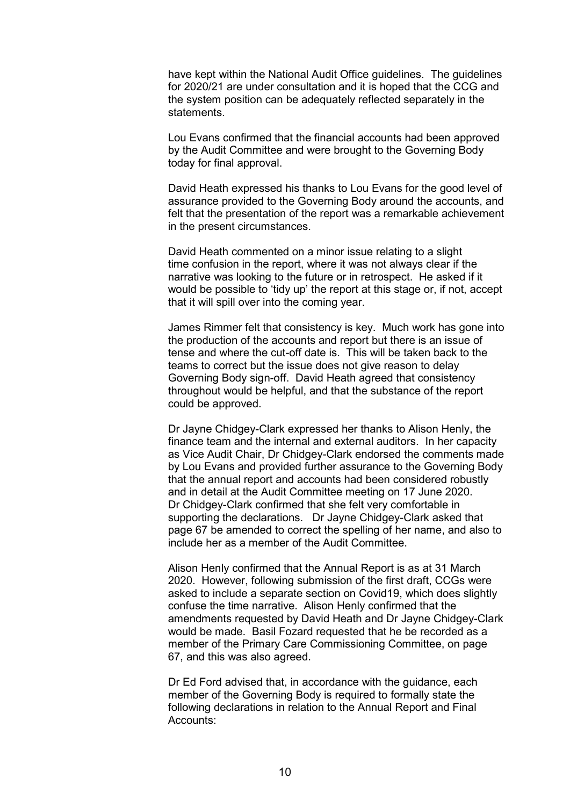have kept within the National Audit Office guidelines. The guidelines for 2020/21 are under consultation and it is hoped that the CCG and the system position can be adequately reflected separately in the statements.

 Lou Evans confirmed that the financial accounts had been approved by the Audit Committee and were brought to the Governing Body today for final approval.

 David Heath expressed his thanks to Lou Evans for the good level of assurance provided to the Governing Body around the accounts, and felt that the presentation of the report was a remarkable achievement in the present circumstances.

 David Heath commented on a minor issue relating to a slight time confusion in the report, where it was not always clear if the narrative was looking to the future or in retrospect. He asked if it would be possible to 'tidy up' the report at this stage or, if not, accept that it will spill over into the coming year.

 James Rimmer felt that consistency is key. Much work has gone into the production of the accounts and report but there is an issue of tense and where the cut-off date is. This will be taken back to the teams to correct but the issue does not give reason to delay Governing Body sign-off. David Heath agreed that consistency throughout would be helpful, and that the substance of the report could be approved.

 Dr Jayne Chidgey-Clark expressed her thanks to Alison Henly, the finance team and the internal and external auditors. In her capacity as Vice Audit Chair, Dr Chidgey-Clark endorsed the comments made by Lou Evans and provided further assurance to the Governing Body that the annual report and accounts had been considered robustly and in detail at the Audit Committee meeting on 17 June 2020. Dr Chidgey-Clark confirmed that she felt very comfortable in supporting the declarations. Dr Jayne Chidgey-Clark asked that page 67 be amended to correct the spelling of her name, and also to include her as a member of the Audit Committee.

 Alison Henly confirmed that the Annual Report is as at 31 March 2020. However, following submission of the first draft, CCGs were asked to include a separate section on Covid19, which does slightly confuse the time narrative. Alison Henly confirmed that the amendments requested by David Heath and Dr Jayne Chidgey-Clark would be made. Basil Fozard requested that he be recorded as a member of the Primary Care Commissioning Committee, on page 67, and this was also agreed.

 Dr Ed Ford advised that, in accordance with the guidance, each member of the Governing Body is required to formally state the following declarations in relation to the Annual Report and Final Accounts: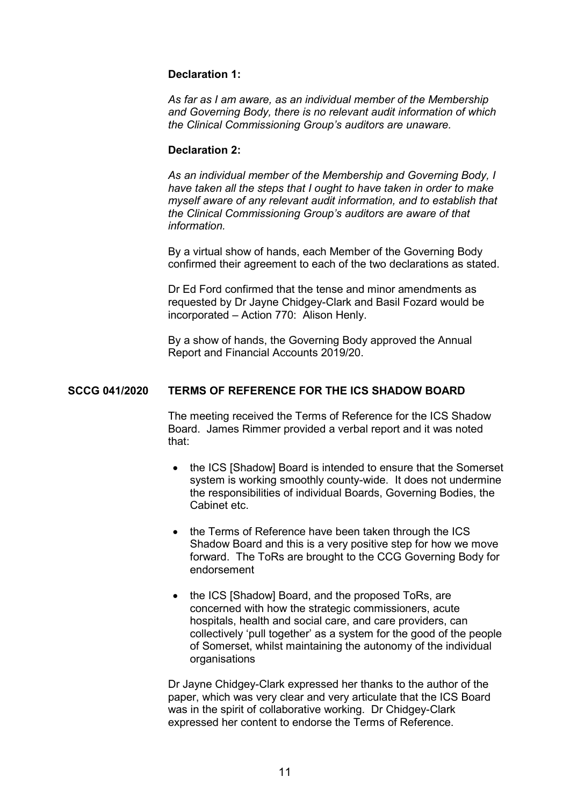# **Declaration 1:**

*As far as I am aware, as an individual member of the Membership and Governing Body, there is no relevant audit information of which the Clinical Commissioning Group's auditors are unaware.* 

# **Declaration 2:**

*As an individual member of the Membership and Governing Body, I have taken all the steps that I ought to have taken in order to make myself aware of any relevant audit information, and to establish that the Clinical Commissioning Group's auditors are aware of that information.* 

 By a virtual show of hands, each Member of the Governing Body confirmed their agreement to each of the two declarations as stated.

 Dr Ed Ford confirmed that the tense and minor amendments as requested by Dr Jayne Chidgey-Clark and Basil Fozard would be incorporated – Action 770: Alison Henly.

 By a show of hands, the Governing Body approved the Annual Report and Financial Accounts 2019/20.

# **SCCG 041/2020 TERMS OF REFERENCE FOR THE ICS SHADOW BOARD**

 The meeting received the Terms of Reference for the ICS Shadow Board. James Rimmer provided a verbal report and it was noted that:

- the ICS [Shadow] Board is intended to ensure that the Somerset system is working smoothly county-wide. It does not undermine the responsibilities of individual Boards, Governing Bodies, the Cabinet etc.
- the Terms of Reference have been taken through the ICS Shadow Board and this is a very positive step for how we move forward. The ToRs are brought to the CCG Governing Body for endorsement
- the ICS [Shadow] Board, and the proposed ToRs, are concerned with how the strategic commissioners, acute hospitals, health and social care, and care providers, can collectively 'pull together' as a system for the good of the people of Somerset, whilst maintaining the autonomy of the individual organisations

 Dr Jayne Chidgey-Clark expressed her thanks to the author of the paper, which was very clear and very articulate that the ICS Board was in the spirit of collaborative working. Dr Chidgey-Clark expressed her content to endorse the Terms of Reference.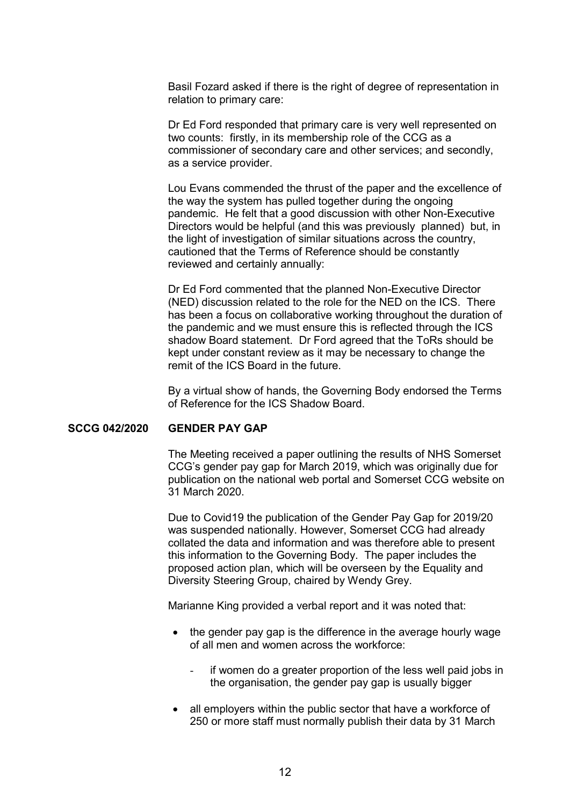Basil Fozard asked if there is the right of degree of representation in relation to primary care:

 Dr Ed Ford responded that primary care is very well represented on two counts: firstly, in its membership role of the CCG as a commissioner of secondary care and other services; and secondly, as a service provider.

 Lou Evans commended the thrust of the paper and the excellence of the way the system has pulled together during the ongoing pandemic. He felt that a good discussion with other Non-Executive Directors would be helpful (and this was previously planned) but, in the light of investigation of similar situations across the country, cautioned that the Terms of Reference should be constantly reviewed and certainly annually:

 Dr Ed Ford commented that the planned Non-Executive Director (NED) discussion related to the role for the NED on the ICS. There has been a focus on collaborative working throughout the duration of the pandemic and we must ensure this is reflected through the ICS shadow Board statement. Dr Ford agreed that the ToRs should be kept under constant review as it may be necessary to change the remit of the ICS Board in the future.

 By a virtual show of hands, the Governing Body endorsed the Terms of Reference for the ICS Shadow Board.

### **SCCG 042/2020 GENDER PAY GAP**

 The Meeting received a paper outlining the results of NHS Somerset CCG's gender pay gap for March 2019, which was originally due for publication on the national web portal and Somerset CCG website on 31 March 2020.

 Due to Covid19 the publication of the Gender Pay Gap for 2019/20 was suspended nationally. However, Somerset CCG had already collated the data and information and was therefore able to present this information to the Governing Body. The paper includes the proposed action plan, which will be overseen by the Equality and Diversity Steering Group, chaired by Wendy Grey.

Marianne King provided a verbal report and it was noted that:

- the gender pay gap is the difference in the average hourly wage of all men and women across the workforce:
	- if women do a greater proportion of the less well paid jobs in the organisation, the gender pay gap is usually bigger
- all employers within the public sector that have a workforce of 250 or more staff must normally publish their data by 31 March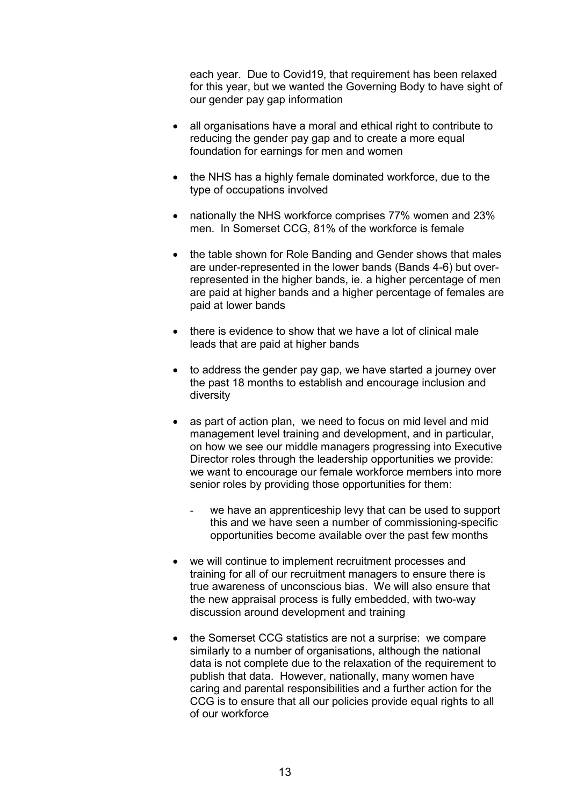each year. Due to Covid19, that requirement has been relaxed for this year, but we wanted the Governing Body to have sight of our gender pay gap information

- all organisations have a moral and ethical right to contribute to reducing the gender pay gap and to create a more equal foundation for earnings for men and women
- the NHS has a highly female dominated workforce, due to the type of occupations involved
- nationally the NHS workforce comprises 77% women and 23% men. In Somerset CCG, 81% of the workforce is female
- the table shown for Role Banding and Gender shows that males are under-represented in the lower bands (Bands 4-6) but overrepresented in the higher bands, ie. a higher percentage of men are paid at higher bands and a higher percentage of females are paid at lower bands
- there is evidence to show that we have a lot of clinical male leads that are paid at higher bands
- to address the gender pay gap, we have started a journey over the past 18 months to establish and encourage inclusion and diversity
- as part of action plan, we need to focus on mid level and mid management level training and development, and in particular, on how we see our middle managers progressing into Executive Director roles through the leadership opportunities we provide: we want to encourage our female workforce members into more senior roles by providing those opportunities for them:
	- we have an apprenticeship levy that can be used to support this and we have seen a number of commissioning-specific opportunities become available over the past few months
- we will continue to implement recruitment processes and training for all of our recruitment managers to ensure there is true awareness of unconscious bias. We will also ensure that the new appraisal process is fully embedded, with two-way discussion around development and training
- the Somerset CCG statistics are not a surprise: we compare similarly to a number of organisations, although the national data is not complete due to the relaxation of the requirement to publish that data. However, nationally, many women have caring and parental responsibilities and a further action for the CCG is to ensure that all our policies provide equal rights to all of our workforce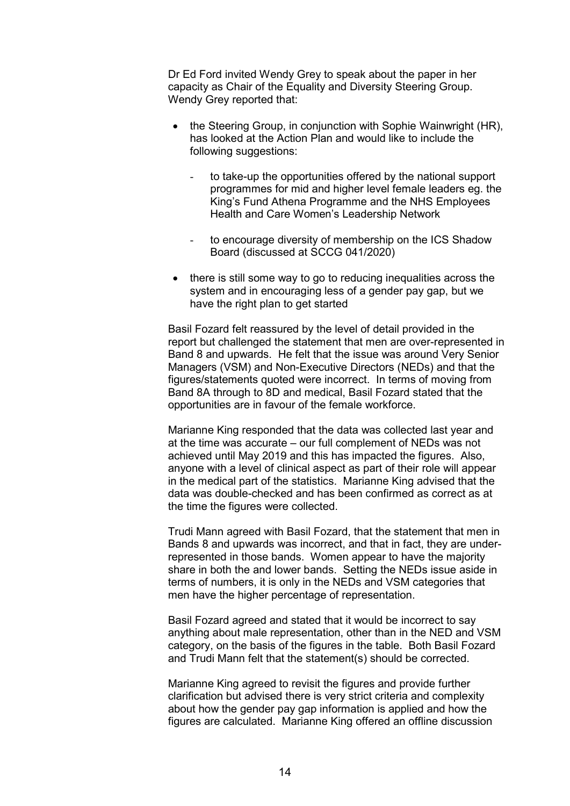Dr Ed Ford invited Wendy Grey to speak about the paper in her capacity as Chair of the Equality and Diversity Steering Group. Wendy Grey reported that:

- the Steering Group, in conjunction with Sophie Wainwright (HR), has looked at the Action Plan and would like to include the following suggestions:
	- to take-up the opportunities offered by the national support programmes for mid and higher level female leaders eg. the King's Fund Athena Programme and the NHS Employees Health and Care Women's Leadership Network
	- to encourage diversity of membership on the ICS Shadow Board (discussed at SCCG 041/2020)
- there is still some way to go to reducing inequalities across the system and in encouraging less of a gender pay gap, but we have the right plan to get started

 Basil Fozard felt reassured by the level of detail provided in the report but challenged the statement that men are over-represented in Band 8 and upwards. He felt that the issue was around Very Senior Managers (VSM) and Non-Executive Directors (NEDs) and that the figures/statements quoted were incorrect. In terms of moving from Band 8A through to 8D and medical, Basil Fozard stated that the opportunities are in favour of the female workforce.

 Marianne King responded that the data was collected last year and at the time was accurate – our full complement of NEDs was not achieved until May 2019 and this has impacted the figures. Also, anyone with a level of clinical aspect as part of their role will appear in the medical part of the statistics. Marianne King advised that the data was double-checked and has been confirmed as correct as at the time the figures were collected.

 Trudi Mann agreed with Basil Fozard, that the statement that men in Bands 8 and upwards was incorrect, and that in fact, they are underrepresented in those bands. Women appear to have the majority share in both the and lower bands. Setting the NEDs issue aside in terms of numbers, it is only in the NEDs and VSM categories that men have the higher percentage of representation.

 Basil Fozard agreed and stated that it would be incorrect to say anything about male representation, other than in the NED and VSM category, on the basis of the figures in the table. Both Basil Fozard and Trudi Mann felt that the statement(s) should be corrected.

 Marianne King agreed to revisit the figures and provide further clarification but advised there is very strict criteria and complexity about how the gender pay gap information is applied and how the figures are calculated. Marianne King offered an offline discussion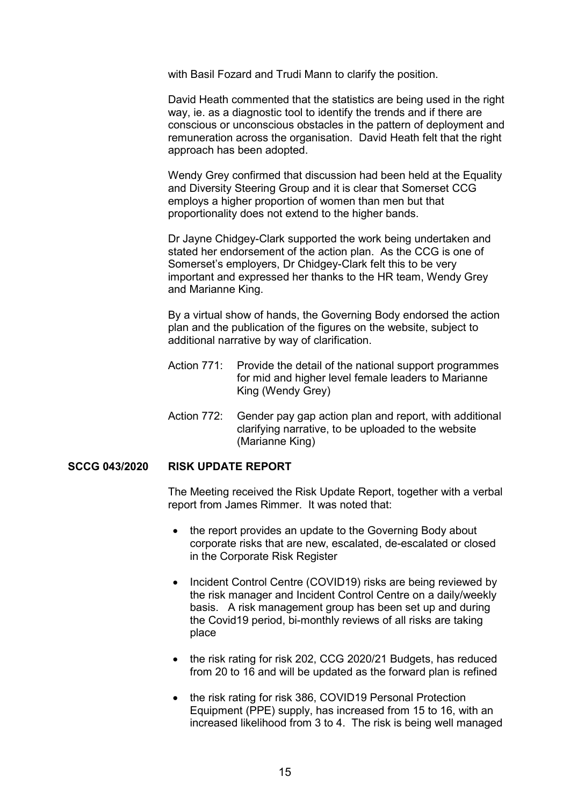with Basil Fozard and Trudi Mann to clarify the position.

 David Heath commented that the statistics are being used in the right way, ie. as a diagnostic tool to identify the trends and if there are conscious or unconscious obstacles in the pattern of deployment and remuneration across the organisation. David Heath felt that the right approach has been adopted.

 Wendy Grey confirmed that discussion had been held at the Equality and Diversity Steering Group and it is clear that Somerset CCG employs a higher proportion of women than men but that proportionality does not extend to the higher bands.

 Dr Jayne Chidgey-Clark supported the work being undertaken and stated her endorsement of the action plan. As the CCG is one of Somerset's employers, Dr Chidgey-Clark felt this to be very important and expressed her thanks to the HR team, Wendy Grey and Marianne King.

 By a virtual show of hands, the Governing Body endorsed the action plan and the publication of the figures on the website, subject to additional narrative by way of clarification.

- Action 771: Provide the detail of the national support programmes for mid and higher level female leaders to Marianne King (Wendy Grey)
- Action 772: Gender pay gap action plan and report, with additional clarifying narrative, to be uploaded to the website (Marianne King)

#### **SCCG 043/2020 RISK UPDATE REPORT**

 The Meeting received the Risk Update Report, together with a verbal report from James Rimmer. It was noted that:

- the report provides an update to the Governing Body about corporate risks that are new, escalated, de-escalated or closed in the Corporate Risk Register
- Incident Control Centre (COVID19) risks are being reviewed by the risk manager and Incident Control Centre on a daily/weekly basis. A risk management group has been set up and during the Covid19 period, bi-monthly reviews of all risks are taking place
- the risk rating for risk 202, CCG 2020/21 Budgets, has reduced from 20 to 16 and will be updated as the forward plan is refined
- the risk rating for risk 386, COVID19 Personal Protection Equipment (PPE) supply, has increased from 15 to 16, with an increased likelihood from 3 to 4. The risk is being well managed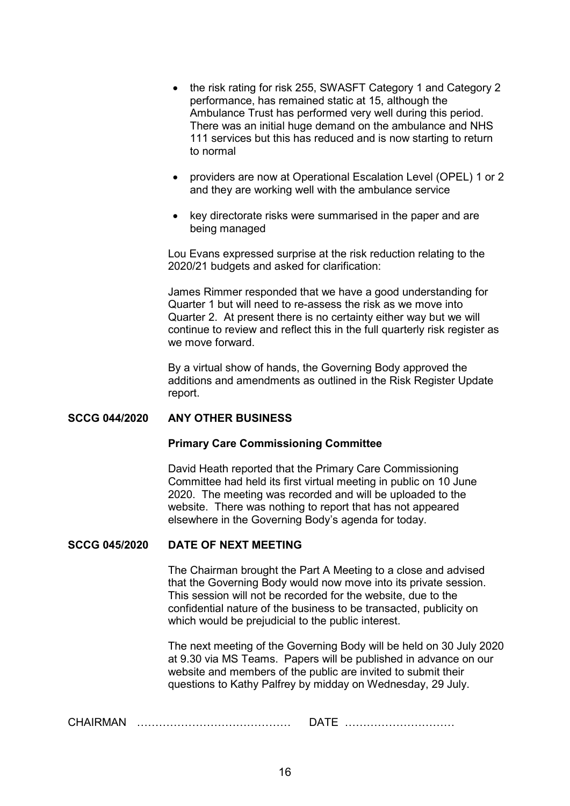- the risk rating for risk 255, SWASFT Category 1 and Category 2 performance, has remained static at 15, although the Ambulance Trust has performed very well during this period. There was an initial huge demand on the ambulance and NHS 111 services but this has reduced and is now starting to return to normal
- providers are now at Operational Escalation Level (OPEL) 1 or 2 and they are working well with the ambulance service
- key directorate risks were summarised in the paper and are being managed

 Lou Evans expressed surprise at the risk reduction relating to the 2020/21 budgets and asked for clarification:

 James Rimmer responded that we have a good understanding for Quarter 1 but will need to re-assess the risk as we move into Quarter 2. At present there is no certainty either way but we will continue to review and reflect this in the full quarterly risk register as we move forward.

 By a virtual show of hands, the Governing Body approved the additions and amendments as outlined in the Risk Register Update report.

# **SCCG 044/2020 ANY OTHER BUSINESS**

#### **Primary Care Commissioning Committee**

 David Heath reported that the Primary Care Commissioning Committee had held its first virtual meeting in public on 10 June 2020. The meeting was recorded and will be uploaded to the website. There was nothing to report that has not appeared elsewhere in the Governing Body's agenda for today.

# **SCCG 045/2020 DATE OF NEXT MEETING**

 The Chairman brought the Part A Meeting to a close and advised that the Governing Body would now move into its private session. This session will not be recorded for the website, due to the confidential nature of the business to be transacted, publicity on which would be prejudicial to the public interest.

 The next meeting of the Governing Body will be held on 30 July 2020 at 9.30 via MS Teams. Papers will be published in advance on our website and members of the public are invited to submit their questions to Kathy Palfrey by midday on Wednesday, 29 July.

CHAIRMAN …………………………………… DATE …………………………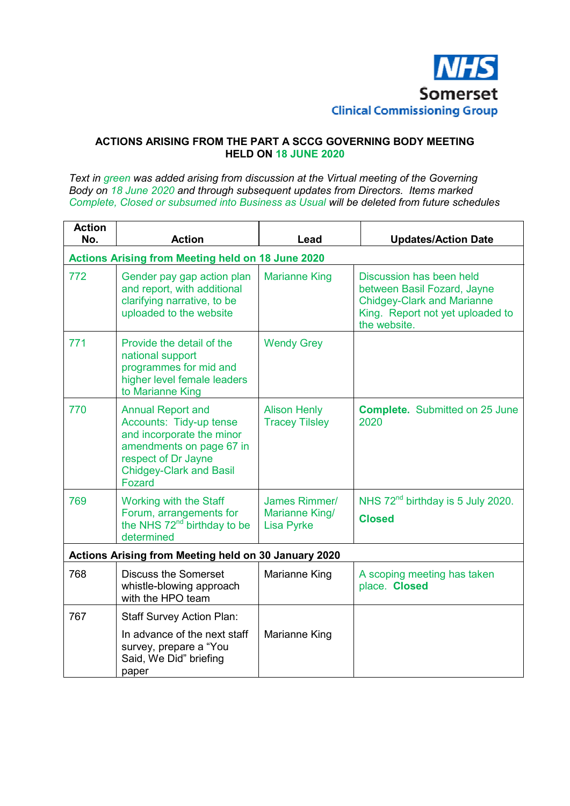

# **ACTIONS ARISING FROM THE PART A SCCG GOVERNING BODY MEETING HELD ON 18 JUNE 2020**

*Text in green was added arising from discussion at the Virtual meeting of the Governing Body on 18 June 2020 and through subsequent updates from Directors. Items marked Complete, Closed or subsumed into Business as Usual will be deleted from future schedules* 

| <b>Action</b><br>No.                                 | <b>Action</b>                                                                                                                                                                          | Lead                                                 | <b>Updates/Action Date</b>                                                                                                                       |  |
|------------------------------------------------------|----------------------------------------------------------------------------------------------------------------------------------------------------------------------------------------|------------------------------------------------------|--------------------------------------------------------------------------------------------------------------------------------------------------|--|
|                                                      | <b>Actions Arising from Meeting held on 18 June 2020</b>                                                                                                                               |                                                      |                                                                                                                                                  |  |
| 772                                                  | Gender pay gap action plan<br>and report, with additional<br>clarifying narrative, to be<br>uploaded to the website                                                                    | <b>Marianne King</b>                                 | Discussion has been held<br>between Basil Fozard, Jayne<br><b>Chidgey-Clark and Marianne</b><br>King. Report not yet uploaded to<br>the website. |  |
| 771                                                  | Provide the detail of the<br>national support<br>programmes for mid and<br>higher level female leaders<br>to Marianne King                                                             | <b>Wendy Grey</b>                                    |                                                                                                                                                  |  |
| 770                                                  | <b>Annual Report and</b><br>Accounts: Tidy-up tense<br>and incorporate the minor<br>amendments on page 67 in<br>respect of Dr Jayne<br><b>Chidgey-Clark and Basil</b><br><b>Fozard</b> | <b>Alison Henly</b><br><b>Tracey Tilsley</b>         | <b>Complete.</b> Submitted on 25 June<br>2020                                                                                                    |  |
| 769                                                  | <b>Working with the Staff</b><br>Forum, arrangements for<br>the NHS 72 <sup>nd</sup> birthday to be<br>determined                                                                      | James Rimmer/<br>Marianne King/<br><b>Lisa Pyrke</b> | NHS 72 <sup>nd</sup> birthday is 5 July 2020.<br><b>Closed</b>                                                                                   |  |
| Actions Arising from Meeting held on 30 January 2020 |                                                                                                                                                                                        |                                                      |                                                                                                                                                  |  |
| 768                                                  | <b>Discuss the Somerset</b><br>whistle-blowing approach<br>with the HPO team                                                                                                           | Marianne King                                        | A scoping meeting has taken<br>place. Closed                                                                                                     |  |
| 767                                                  | <b>Staff Survey Action Plan:</b>                                                                                                                                                       |                                                      |                                                                                                                                                  |  |
|                                                      | In advance of the next staff<br>survey, prepare a "You<br>Said, We Did" briefing<br>paper                                                                                              | Marianne King                                        |                                                                                                                                                  |  |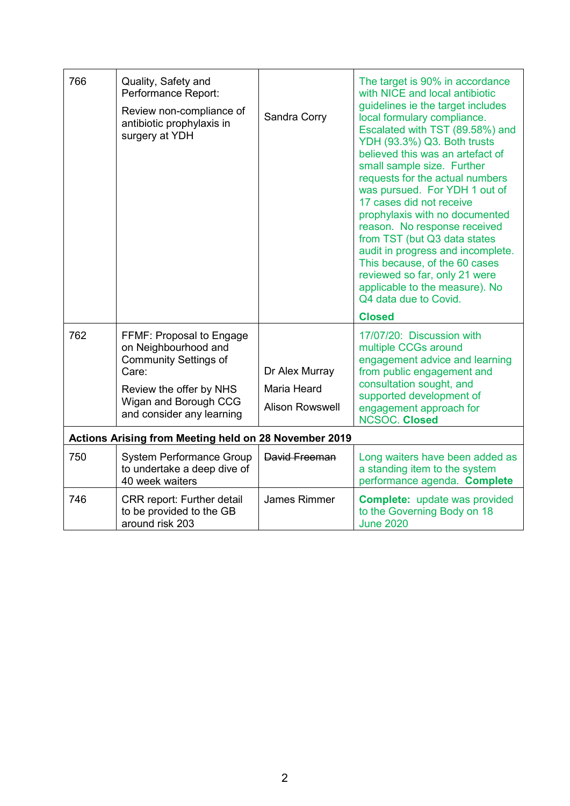| 766                                                   | Quality, Safety and<br>Performance Report:<br>Review non-compliance of<br>antibiotic prophylaxis in<br>surgery at YDH                                                      | Sandra Corry                                                   | The target is 90% in accordance<br>with NICE and local antibiotic<br>guidelines ie the target includes<br>local formulary compliance.<br>Escalated with TST (89.58%) and<br>YDH (93.3%) Q3. Both trusts<br>believed this was an artefact of<br>small sample size. Further<br>requests for the actual numbers<br>was pursued. For YDH 1 out of<br>17 cases did not receive<br>prophylaxis with no documented<br>reason. No response received<br>from TST (but Q3 data states<br>audit in progress and incomplete.<br>This because, of the 60 cases<br>reviewed so far, only 21 were<br>applicable to the measure). No<br>Q4 data due to Covid.<br><b>Closed</b> |
|-------------------------------------------------------|----------------------------------------------------------------------------------------------------------------------------------------------------------------------------|----------------------------------------------------------------|----------------------------------------------------------------------------------------------------------------------------------------------------------------------------------------------------------------------------------------------------------------------------------------------------------------------------------------------------------------------------------------------------------------------------------------------------------------------------------------------------------------------------------------------------------------------------------------------------------------------------------------------------------------|
| 762                                                   | FFMF: Proposal to Engage<br>on Neighbourhood and<br><b>Community Settings of</b><br>Care:<br>Review the offer by NHS<br>Wigan and Borough CCG<br>and consider any learning | Dr Alex Murray<br><b>Maria Heard</b><br><b>Alison Rowswell</b> | 17/07/20: Discussion with<br>multiple CCGs around<br>engagement advice and learning<br>from public engagement and<br>consultation sought, and<br>supported development of<br>engagement approach for<br><b>NCSOC. Closed</b>                                                                                                                                                                                                                                                                                                                                                                                                                                   |
| Actions Arising from Meeting held on 28 November 2019 |                                                                                                                                                                            |                                                                |                                                                                                                                                                                                                                                                                                                                                                                                                                                                                                                                                                                                                                                                |
| 750                                                   | <b>System Performance Group</b><br>to undertake a deep dive of<br>40 week waiters                                                                                          | David Freeman                                                  | Long waiters have been added as<br>a standing item to the system<br>performance agenda. Complete                                                                                                                                                                                                                                                                                                                                                                                                                                                                                                                                                               |
| 746                                                   | <b>CRR</b> report: Further detail<br>to be provided to the GB<br>around risk 203                                                                                           | James Rimmer                                                   | <b>Complete:</b> update was provided<br>to the Governing Body on 18<br><b>June 2020</b>                                                                                                                                                                                                                                                                                                                                                                                                                                                                                                                                                                        |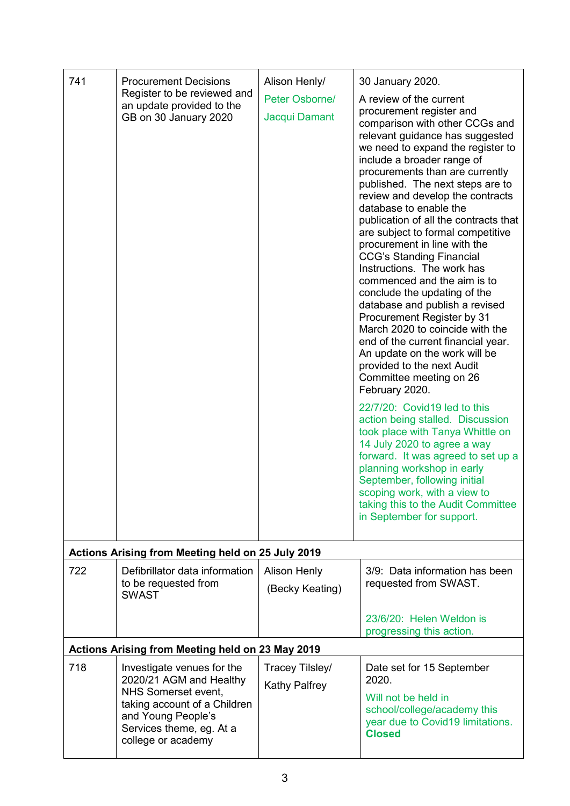| 741                                               | <b>Procurement Decisions</b><br>Register to be reviewed and<br>an update provided to the<br>GB on 30 January 2020                                                                           | Alison Henly/<br>Peter Osborne/<br>Jacqui Damant | 30 January 2020.<br>A review of the current<br>procurement register and<br>comparison with other CCGs and<br>relevant guidance has suggested<br>we need to expand the register to<br>include a broader range of<br>procurements than are currently<br>published. The next steps are to<br>review and develop the contracts<br>database to enable the<br>publication of all the contracts that<br>are subject to formal competitive<br>procurement in line with the<br><b>CCG's Standing Financial</b><br>Instructions. The work has<br>commenced and the aim is to<br>conclude the updating of the<br>database and publish a revised<br>Procurement Register by 31<br>March 2020 to coincide with the<br>end of the current financial year.<br>An update on the work will be<br>provided to the next Audit<br>Committee meeting on 26<br>February 2020.<br>22/7/20: Covid19 led to this<br>action being stalled. Discussion<br>took place with Tanya Whittle on<br>14 July 2020 to agree a way<br>forward. It was agreed to set up a<br>planning workshop in early<br>September, following initial<br>scoping work, with a view to<br>taking this to the Audit Committee<br>in September for support. |  |
|---------------------------------------------------|---------------------------------------------------------------------------------------------------------------------------------------------------------------------------------------------|--------------------------------------------------|-------------------------------------------------------------------------------------------------------------------------------------------------------------------------------------------------------------------------------------------------------------------------------------------------------------------------------------------------------------------------------------------------------------------------------------------------------------------------------------------------------------------------------------------------------------------------------------------------------------------------------------------------------------------------------------------------------------------------------------------------------------------------------------------------------------------------------------------------------------------------------------------------------------------------------------------------------------------------------------------------------------------------------------------------------------------------------------------------------------------------------------------------------------------------------------------------------|--|
| Actions Arising from Meeting held on 25 July 2019 |                                                                                                                                                                                             |                                                  |                                                                                                                                                                                                                                                                                                                                                                                                                                                                                                                                                                                                                                                                                                                                                                                                                                                                                                                                                                                                                                                                                                                                                                                                       |  |
| 722                                               | Defibrillator data information<br>to be requested from<br><b>SWAST</b>                                                                                                                      | <b>Alison Henly</b><br>(Becky Keating)           | 3/9: Data information has been<br>requested from SWAST.<br>23/6/20: Helen Weldon is<br>progressing this action.                                                                                                                                                                                                                                                                                                                                                                                                                                                                                                                                                                                                                                                                                                                                                                                                                                                                                                                                                                                                                                                                                       |  |
|                                                   | Actions Arising from Meeting held on 23 May 2019                                                                                                                                            |                                                  |                                                                                                                                                                                                                                                                                                                                                                                                                                                                                                                                                                                                                                                                                                                                                                                                                                                                                                                                                                                                                                                                                                                                                                                                       |  |
| 718                                               | Investigate venues for the<br>2020/21 AGM and Healthy<br><b>NHS Somerset event,</b><br>taking account of a Children<br>and Young People's<br>Services theme, eg. At a<br>college or academy | Tracey Tilsley/<br><b>Kathy Palfrey</b>          | Date set for 15 September<br>2020.<br>Will not be held in<br>school/college/academy this<br>year due to Covid19 limitations.<br><b>Closed</b>                                                                                                                                                                                                                                                                                                                                                                                                                                                                                                                                                                                                                                                                                                                                                                                                                                                                                                                                                                                                                                                         |  |